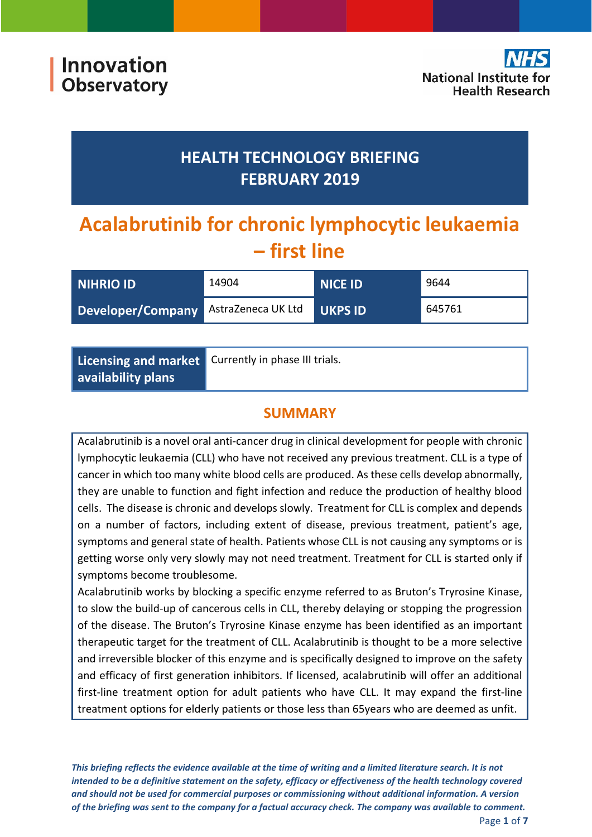## **HEALTH TECHNOLOGY BRIEFING FEBRUARY 2019**

# **Acalabrutinib for chronic lymphocytic leukaemia – first line**

| <b>NIHRIO ID</b>                     | 14904 | <b>NICE ID</b> | 9644   |
|--------------------------------------|-------|----------------|--------|
| Developer/Company AstraZeneca UK Ltd |       | <b>UKPS ID</b> | 645761 |

**Licensing and market availability plans**

Currently in phase III trials.

## **SUMMARY**

Acalabrutinib is a novel oral anti‐cancer drug in clinical development for people with chronic lymphocytic leukaemia (CLL) who have not received any previous treatment. CLL is a type of cancer in which too many white blood cells are produced. As these cells develop abnormally, they are unable to function and fight infection and reduce the production of healthy blood cells. The disease is chronic and develops slowly. Treatment for CLL is complex and depends on a number of factors, including extent of disease, previous treatment, patient's age, symptoms and general state of health. Patients whose CLL is not causing any symptoms or is getting worse only very slowly may not need treatment. Treatment for CLL is started only if symptoms become troublesome.

Acalabrutinib works by blocking a specific enzyme referred to as Bruton's Tryrosine Kinase, to slow the build‐up of cancerous cells in CLL, thereby delaying or stopping the progression of the disease. The Bruton's Tryrosine Kinase enzyme has been identified as an important therapeutic target for the treatment of CLL. Acalabrutinib is thought to be a more selective and irreversible blocker of this enzyme and is specifically designed to improve on the safety and efficacy of first generation inhibitors. If licensed, acalabrutinib will offer an additional first-line treatment option for adult patients who have CLL. It may expand the first-line treatment options for elderly patients or those less than 65years who are deemed as unfit.

This briefing reflects the evidence available at the time of writing and a limited literature search. It is not intended to be a definitive statement on the safety, efficacy or effectiveness of the health technology covered *and should not be used for commercial purposes or commissioning without additional information. A version* of the briefing was sent to the company for a factual accuracy check. The company was available to comment.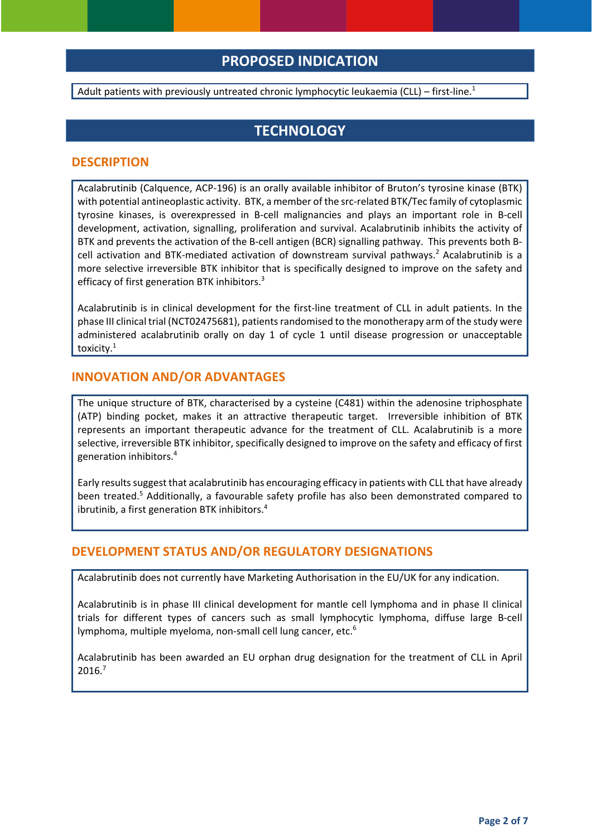## **PROPOSED INDICATION**

Adult patients with previously untreated chronic lymphocytic leukaemia (CLL) – first-line.<sup>1</sup>

## **TECHNOLOGY**

#### **DESCRIPTION**

Acalabrutinib (Calquence, ACP‐196) is an orally available inhibitor of Bruton's tyrosine kinase (BTK) with potential antineoplastic activity. BTK, a member of the src-related BTK/Tec family of cytoplasmic tyrosine kinases, is overexpressed in B‐cell malignancies and plays an important role in B‐cell development, activation, signalling, proliferation and survival. Acalabrutinib inhibits the activity of BTK and prevents the activation of the B-cell antigen (BCR) signalling pathway. This prevents both Bcell activation and BTK-mediated activation of downstream survival pathways.<sup>2</sup> Acalabrutinib is a more selective irreversible BTK inhibitor that is specifically designed to improve on the safety and efficacy of first generation BTK inhibitors.<sup>3</sup>

Acalabrutinib is in clinical development for the first‐line treatment of CLL in adult patients. In the phase III clinical trial (NCT02475681), patients randomised to the monotherapy arm of the study were administered acalabrutinib orally on day 1 of cycle 1 until disease progression or unacceptable toxicity. $^{\rm 1}$ 

#### **INNOVATION AND/OR ADVANTAGES**

The unique structure of BTK, characterised by a cysteine (C481) within the adenosine triphosphate (ATP) binding pocket, makes it an attractive therapeutic target. Irreversible inhibition of BTK represents an important therapeutic advance for the treatment of CLL. Acalabrutinib is a more selective, irreversible BTK inhibitor, specifically designed to improve on the safety and efficacy of first generation inhibitors.4

Early resultssuggest that acalabrutinib has encouraging efficacy in patients with CLL that have already been treated.<sup>5</sup> Additionally, a favourable safety profile has also been demonstrated compared to ibrutinib, a first generation BTK inhibitors.<sup>4</sup>

#### **DEVELOPMENT STATUS AND/OR REGULATORY DESIGNATIONS**

Acalabrutinib does not currently have Marketing Authorisation in the EU/UK for any indication.

Acalabrutinib is in phase III clinical development for mantle cell lymphoma and in phase II clinical trials for different types of cancers such as small lymphocytic lymphoma, diffuse large B‐cell lymphoma, multiple myeloma, non-small cell lung cancer, etc.<sup>6</sup>

Acalabrutinib has been awarded an EU orphan drug designation for the treatment of CLL in April 2016.7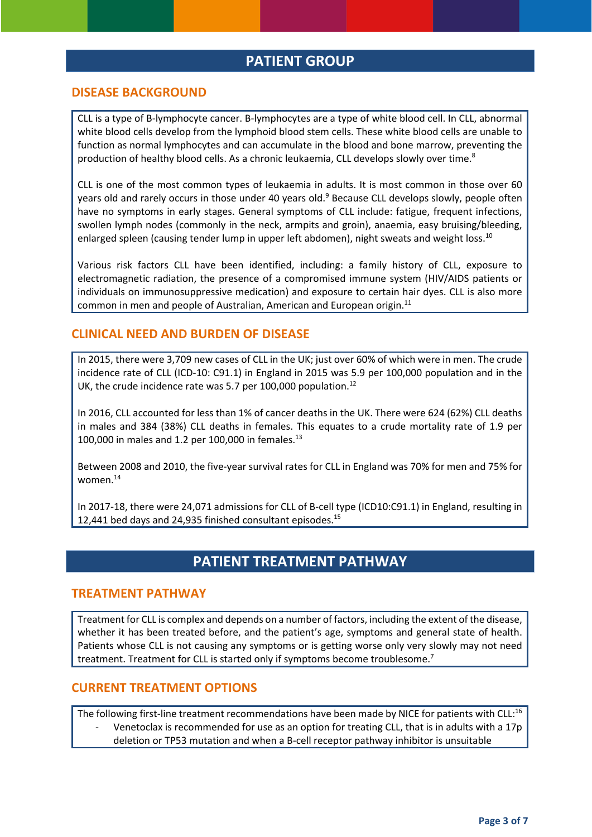### **PATIENT GROUP**

#### **DISEASE BACKGROUND**

CLL is a type of B‐lymphocyte cancer. B‐lymphocytes are a type of white blood cell. In CLL, abnormal white blood cells develop from the lymphoid blood stem cells. These white blood cells are unable to function as normal lymphocytes and can accumulate in the blood and bone marrow, preventing the production of healthy blood cells. As a chronic leukaemia, CLL develops slowly over time.<sup>8</sup>

CLL is one of the most common types of leukaemia in adults. It is most common in those over 60 years old and rarely occurs in those under 40 years old.<sup>9</sup> Because CLL develops slowly, people often have no symptoms in early stages. General symptoms of CLL include: fatigue, frequent infections, swollen lymph nodes (commonly in the neck, armpits and groin), anaemia, easy bruising/bleeding, enlarged spleen (causing tender lump in upper left abdomen), night sweats and weight loss.<sup>10</sup>

Various risk factors CLL have been identified, including: a family history of CLL, exposure to electromagnetic radiation, the presence of a compromised immune system (HIV/AIDS patients or individuals on immunosuppressive medication) and exposure to certain hair dyes. CLL is also more common in men and people of Australian, American and European origin.<sup>11</sup>

#### **CLINICAL NEED AND BURDEN OF DISEASE**

In 2015, there were 3,709 new cases of CLL in the UK; just over 60% of which were in men. The crude incidence rate of CLL (ICD‐10: C91.1) in England in 2015 was 5.9 per 100,000 population and in the UK, the crude incidence rate was 5.7 per 100,000 population.<sup>12</sup>

In 2016, CLL accounted for less than 1% of cancer deaths in the UK. There were 624 (62%) CLL deaths in males and 384 (38%) CLL deaths in females. This equates to a crude mortality rate of 1.9 per 100,000 in males and 1.2 per 100,000 in females.<sup>13</sup>

Between 2008 and 2010, the five-year survival rates for CLL in England was 70% for men and 75% for women.<sup>14</sup>

In 2017-18, there were 24,071 admissions for CLL of B-cell type (ICD10:C91.1) in England, resulting in 12,441 bed days and 24,935 finished consultant episodes.<sup>15</sup>

## **PATIENT TREATMENT PATHWAY**

#### **TREATMENT PATHWAY**

Treatment for CLL is complex and depends on a number of factors, including the extent of the disease, whether it has been treated before, and the patient's age, symptoms and general state of health. Patients whose CLL is not causing any symptoms or is getting worse only very slowly may not need treatment. Treatment for CLL is started only if symptoms become troublesome.<sup>7</sup>

#### **CURRENT TREATMENT OPTIONS**

The following first-line treatment recommendations have been made by NICE for patients with CLL:<sup>16</sup> ‐ Venetoclax is recommended for use as an option for treating CLL, that is in adults with a 17p deletion or TP53 mutation and when a B‐cell receptor pathway inhibitor is unsuitable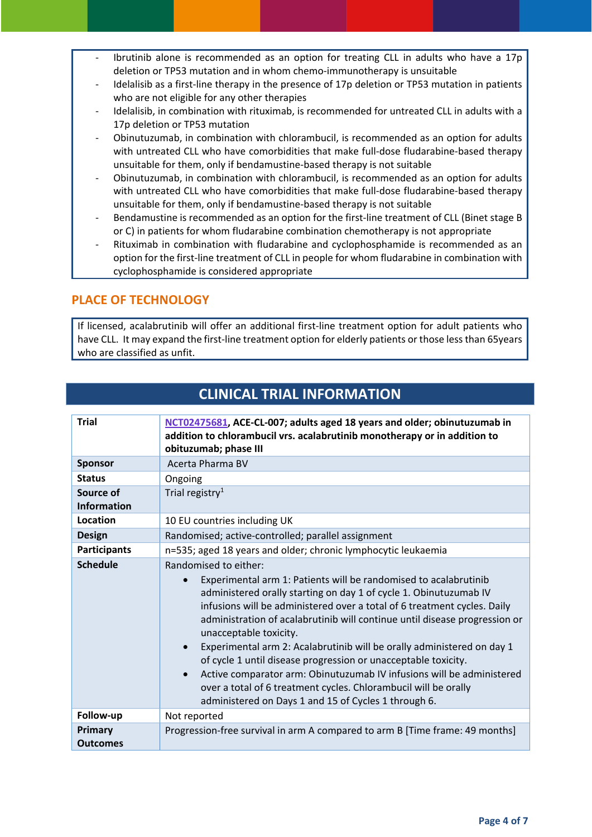- ‐ Ibrutinib alone is recommended as an option for treating CLL in adults who have a 17p deletion or TP53 mutation and in whom chemo‐immunotherapy is unsuitable
- Idelalisib as a first-line therapy in the presence of 17p deletion or TP53 mutation in patients who are not eligible for any other therapies
- Idelalisib, in combination with rituximab, is recommended for untreated CLL in adults with a 17p deletion or TP53 mutation
- ‐ Obinutuzumab, in combination with chlorambucil, is recommended as an option for adults with untreated CLL who have comorbidities that make full-dose fludarabine-based therapy unsuitable for them, only if bendamustine‐based therapy is not suitable
- ‐ Obinutuzumab, in combination with chlorambucil, is recommended as an option for adults with untreated CLL who have comorbidities that make full-dose fludarabine-based therapy unsuitable for them, only if bendamustine‐based therapy is not suitable
- Bendamustine is recommended as an option for the first-line treatment of CLL (Binet stage B or C) in patients for whom fludarabine combination chemotherapy is not appropriate
- ‐ Rituximab in combination with fludarabine and cyclophosphamide is recommended as an option for the first-line treatment of CLL in people for whom fludarabine in combination with cyclophosphamide is considered appropriate

#### **PLACE OF TECHNOLOGY**

If licensed, acalabrutinib will offer an additional first‐line treatment option for adult patients who have CLL. It may expand the first-line treatment option for elderly patients or those less than 65years who are classified as unfit.

| <b>Trial</b>                    | NCT02475681, ACE-CL-007; adults aged 18 years and older; obinutuzumab in<br>addition to chlorambucil vrs. acalabrutinib monotherapy or in addition to<br>obituzumab; phase III                                                                                                                                                                                                                                                                                                                                                                                                                                                                                                                                                            |
|---------------------------------|-------------------------------------------------------------------------------------------------------------------------------------------------------------------------------------------------------------------------------------------------------------------------------------------------------------------------------------------------------------------------------------------------------------------------------------------------------------------------------------------------------------------------------------------------------------------------------------------------------------------------------------------------------------------------------------------------------------------------------------------|
| <b>Sponsor</b>                  | Acerta Pharma BV                                                                                                                                                                                                                                                                                                                                                                                                                                                                                                                                                                                                                                                                                                                          |
| <b>Status</b>                   | Ongoing                                                                                                                                                                                                                                                                                                                                                                                                                                                                                                                                                                                                                                                                                                                                   |
| Source of<br><b>Information</b> | Trial registry <sup>1</sup>                                                                                                                                                                                                                                                                                                                                                                                                                                                                                                                                                                                                                                                                                                               |
| Location                        | 10 EU countries including UK                                                                                                                                                                                                                                                                                                                                                                                                                                                                                                                                                                                                                                                                                                              |
| <b>Design</b>                   | Randomised; active-controlled; parallel assignment                                                                                                                                                                                                                                                                                                                                                                                                                                                                                                                                                                                                                                                                                        |
| <b>Participants</b>             | n=535; aged 18 years and older; chronic lymphocytic leukaemia                                                                                                                                                                                                                                                                                                                                                                                                                                                                                                                                                                                                                                                                             |
| <b>Schedule</b>                 | Randomised to either:<br>Experimental arm 1: Patients will be randomised to acalabrutinib<br>$\bullet$<br>administered orally starting on day 1 of cycle 1. Obinutuzumab IV<br>infusions will be administered over a total of 6 treatment cycles. Daily<br>administration of acalabrutinib will continue until disease progression or<br>unacceptable toxicity.<br>Experimental arm 2: Acalabrutinib will be orally administered on day 1<br>$\bullet$<br>of cycle 1 until disease progression or unacceptable toxicity.<br>Active comparator arm: Obinutuzumab IV infusions will be administered<br>$\bullet$<br>over a total of 6 treatment cycles. Chlorambucil will be orally<br>administered on Days 1 and 15 of Cycles 1 through 6. |
| Follow-up                       | Not reported                                                                                                                                                                                                                                                                                                                                                                                                                                                                                                                                                                                                                                                                                                                              |
| Primary<br><b>Outcomes</b>      | Progression-free survival in arm A compared to arm B [Time frame: 49 months]                                                                                                                                                                                                                                                                                                                                                                                                                                                                                                                                                                                                                                                              |

## **CLINICAL TRIAL INFORMATION**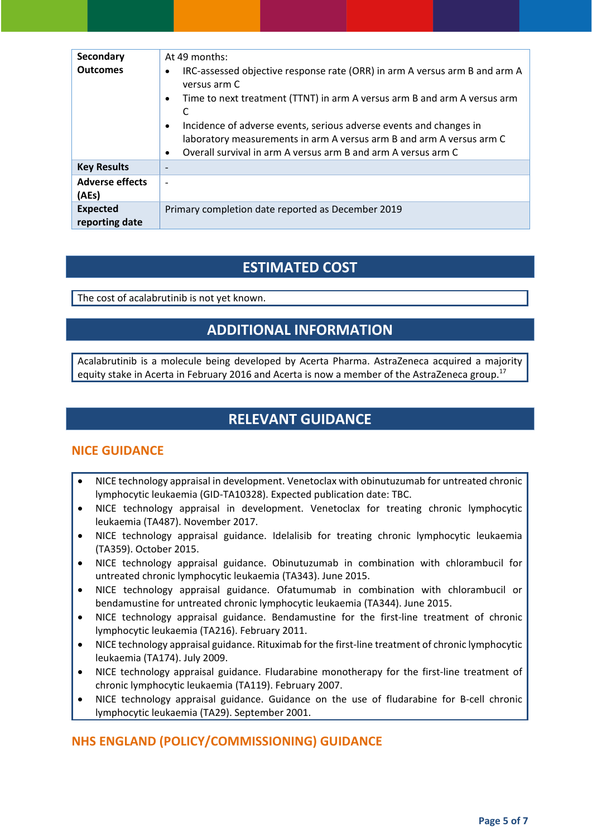| Secondary<br><b>Outcomes</b>      | At 49 months:<br>IRC-assessed objective response rate (ORR) in arm A versus arm B and arm A<br>$\bullet$<br>versus arm C<br>Time to next treatment (TTNT) in arm A versus arm B and arm A versus arm<br>$\bullet$<br>C<br>Incidence of adverse events, serious adverse events and changes in<br>$\bullet$<br>laboratory measurements in arm A versus arm B and arm A versus arm C<br>Overall survival in arm A versus arm B and arm A versus arm C<br>$\bullet$ |
|-----------------------------------|-----------------------------------------------------------------------------------------------------------------------------------------------------------------------------------------------------------------------------------------------------------------------------------------------------------------------------------------------------------------------------------------------------------------------------------------------------------------|
| <b>Key Results</b>                | $\overline{\phantom{0}}$                                                                                                                                                                                                                                                                                                                                                                                                                                        |
| <b>Adverse effects</b><br>(AEs)   | $\overline{\phantom{a}}$                                                                                                                                                                                                                                                                                                                                                                                                                                        |
| <b>Expected</b><br>reporting date | Primary completion date reported as December 2019                                                                                                                                                                                                                                                                                                                                                                                                               |

## **ESTIMATED COST**

The cost of acalabrutinib is not yet known.

## **ADDITIONAL INFORMATION**

Acalabrutinib is a molecule being developed by Acerta Pharma. AstraZeneca acquired a majority equity stake in Acerta in February 2016 and Acerta is now a member of the AstraZeneca group.<sup>17</sup>

## **RELEVANT GUIDANCE**

#### **NICE GUIDANCE**

- NICE technology appraisal in development. Venetoclax with obinutuzumab for untreated chronic lymphocytic leukaemia (GID‐TA10328). Expected publication date: TBC.
- NICE technology appraisal in development. Venetoclax for treating chronic lymphocytic leukaemia (TA487). November 2017.
- NICE technology appraisal guidance. Idelalisib for treating chronic lymphocytic leukaemia (TA359). October 2015.
- NICE technology appraisal guidance. Obinutuzumab in combination with chlorambucil for untreated chronic lymphocytic leukaemia (TA343). June 2015.
- NICE technology appraisal guidance. Ofatumumab in combination with chlorambucil or bendamustine for untreated chronic lymphocytic leukaemia (TA344). June 2015.
- NICE technology appraisal guidance. Bendamustine for the first-line treatment of chronic lymphocytic leukaemia (TA216). February 2011.
- NICE technology appraisal guidance. Rituximab for the first‐line treatment of chronic lymphocytic leukaemia (TA174). July 2009.
- NICE technology appraisal guidance. Fludarabine monotherapy for the first‐line treatment of chronic lymphocytic leukaemia (TA119). February 2007.
- NICE technology appraisal guidance. Guidance on the use of fludarabine for B‐cell chronic lymphocytic leukaemia (TA29). September 2001.

### **NHS ENGLAND (POLICY/COMMISSIONING) GUIDANCE**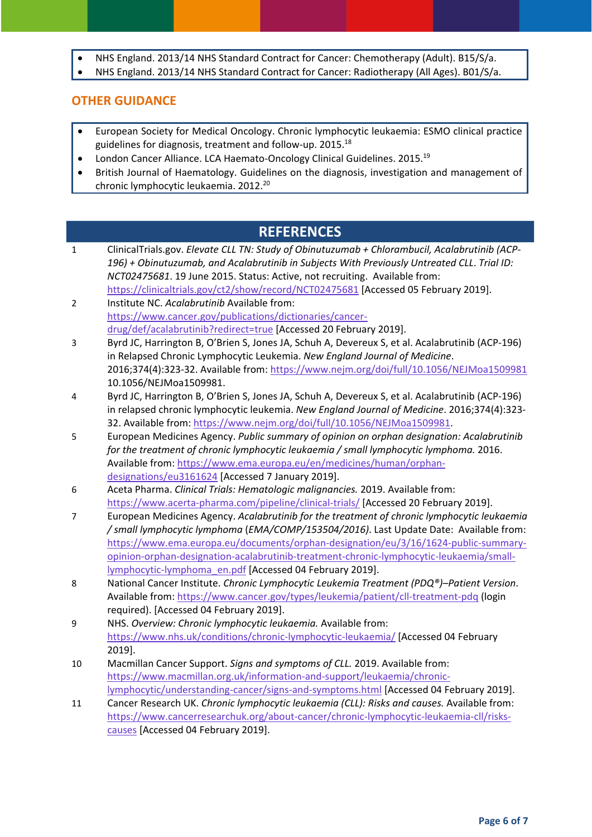- NHS England. 2013/14 NHS Standard Contract for Cancer: Chemotherapy (Adult). B15/S/a.
- NHS England. 2013/14 NHS Standard Contract for Cancer: Radiotherapy (All Ages). B01/S/a.

#### **OTHER GUIDANCE**

- European Society for Medical Oncology. Chronic lymphocytic leukaemia: ESMO clinical practice guidelines for diagnosis, treatment and follow‐up. 2015.18
- London Cancer Alliance. LCA Haemato‐Oncology Clinical Guidelines. 2015.19
- British Journal of Haematology. Guidelines on the diagnosis, investigation and management of chronic lymphocytic leukaemia. 2012.<sup>20</sup>

## **REFERENCES**

- 1 ClinicalTrials.gov. *Elevate CLL TN: Study of Obinutuzumab + Chlorambucil, Acalabrutinib (ACP‐ 196) + Obinutuzumab, and Acalabrutinib in Subjects With Previously Untreated CLL*. *Trial ID: NCT02475681*. 19 June 2015. Status: Active, not recruiting. Available from: https://clinicaltrials.gov/ct2/show/record/NCT02475681 [Accessed 05 February 2019].
- 2 Institute NC. *Acalabrutinib* Available from: https://www.cancer.gov/publications/dictionaries/cancer‐ drug/def/acalabrutinib?redirect=true [Accessed 20 February 2019].
- 3 Byrd JC, Harrington B, O'Brien S, Jones JA, Schuh A, Devereux S, et al. Acalabrutinib (ACP‐196) in Relapsed Chronic Lymphocytic Leukemia. *New England Journal of Medicine*. 2016;374(4):323‐32. Available from: https://www.nejm.org/doi/full/10.1056/NEJMoa1509981 10.1056/NEJMoa1509981.
- 4 Byrd JC, Harrington B, O'Brien S, Jones JA, Schuh A, Devereux S, et al. Acalabrutinib (ACP‐196) in relapsed chronic lymphocytic leukemia. *New England Journal of Medicine*. 2016;374(4):323‐ 32. Available from: https://www.nejm.org/doi/full/10.1056/NEJMoa1509981.
- 5 European Medicines Agency. *Public summary of opinion on orphan designation: Acalabrutinib for the treatment of chronic lymphocytic leukaemia / small lymphocytic lymphoma.* 2016. Available from: https://www.ema.europa.eu/en/medicines/human/orphan‐ designations/eu3161624 [Accessed 7 January 2019].
- 6 Aceta Pharma. *Clinical Trials: Hematologic malignancies.* 2019. Available from: https://www.acerta‐pharma.com/pipeline/clinical‐trials/ [Accessed 20 February 2019].
- 7 European Medicines Agency. *Acalabrutinib for the treatment of chronic lymphocytic leukaemia / small lymphocytic lymphoma* (*EMA/COMP/153504/2016)*. Last Update Date: Available from: https://www.ema.europa.eu/documents/orphan-designation/eu/3/16/1624-public-summaryopinion‐orphan‐designation‐acalabrutinib‐treatment‐chronic‐lymphocytic‐leukaemia/small‐ lymphocytic-lymphoma\_en.pdf [Accessed 04 February 2019].
- 8 National Cancer Institute. *Chronic Lymphocytic Leukemia Treatment (PDQ®)–Patient Version*. Available from: https://www.cancer.gov/types/leukemia/patient/cll‐treatment‐pdq (login required). [Accessed 04 February 2019].
- 9 NHS. *Overview: Chronic lymphocytic leukaemia.* Available from: https://www.nhs.uk/conditions/chronic‐lymphocytic‐leukaemia/ [Accessed 04 February 2019].
- 10 Macmillan Cancer Support. *Signs and symptoms of CLL.* 2019. Available from: https://www.macmillan.org.uk/information-and-support/leukaemia/chroniclymphocytic/understanding‐cancer/signs‐and‐symptoms.html [Accessed 04 February 2019].
- 11 Cancer Research UK. *Chronic lymphocytic leukaemia (CLL): Risks and causes.* Available from: https://www.cancerresearchuk.org/about‐cancer/chronic‐lymphocytic‐leukaemia‐cll/risks‐ causes [Accessed 04 February 2019].